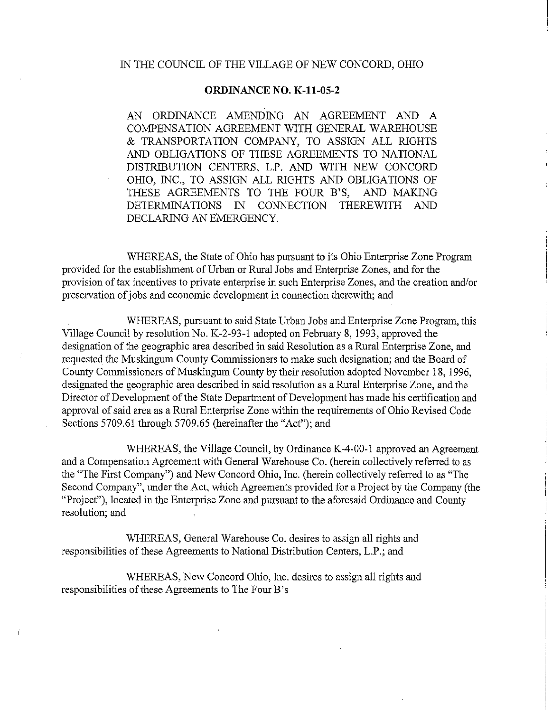## IN THE COUNCIL OF THE VILLAGE OF NEW CONCORD, OHIO

## **ORDINANCE** NO. **K-11-05-2**

AN ORDINANCE AMENDING AN AGREEMENT AND A COMPENSATION AGREEMENT WITH GENERAL WAREHOUSE & TRANSPORTATION COMPANY, TO ASSIGN ALL RIGHTS AND OBLIGATIONS OF THESE AGREEMENTS TO NATIONAL DISTRIBUTION CENTERS, L.P. AND WITH NEW CONCORD OHIO, INC., TO ASSIGN ALL RIGHTS AND OBLIGATIONS OF THESE AGREEMENTS TO THE FOUR B'S, AND MAKING DETERMINATIONS IN CONNECTION THEREWITH AND DECLARING AN EMERGENCY.

WHEREAS, the State of Ohio has pursuant to its Ohio Enterprise Zone Program provided for the establishment of Urban or Rural Jobs and Enterprise Zones, and for the provision of tax incentives to private enterprise in such Enterprise Zones, and the creation and/or preservation of jobs and economic development in connection therewith; and

WHEREAS, pursuant to said State Urban Jobs and Enterprise Zone Program, this Village Council by resolution No. K-2-93-1 adopted on February 8, 1993, approved the designation of the geographic area described in said Resolution as a Rural Enterprise Zone, and requested the Muskingum County Commissioners to make such designation; and the Board of County Commissioners of Muskingum County by their resolution adopted November 18, 1996, designated the geographic area described in said resolution as a Rural Enterprise Zone, and the Director of Development of the State Department of Development has made his certification and approval of said area as a Rural Enterprise Zone within the requirements of Ohio Revised Code Sections 5709.61 through 5709.65 (hereinafter the "Act"); and

WHEREAS, the Village Council, by Ordinance K-4-00-1 approved an Agreement and a Compensation Agreement with General Warehouse Co. (herein collectively referred to as the "The First Company") and New Concord Ohio, Inc. (herein collectively referred to as "The Second Company", under the Act, which Agreements provided for a Project by the Company (the "Project"), located in the Enterprise Zone and pursuant to the aforesaid Ordinance and County resolution; and

WHEREAS, General Warehouse Co. desires to assign all rights and responsibilities of these Agreements to National Distribution Centers, L.P.; and

WHEREAS, New Concord Ohio, Inc. desires to assign all rights and responsibilities of these Agreements to The Four B's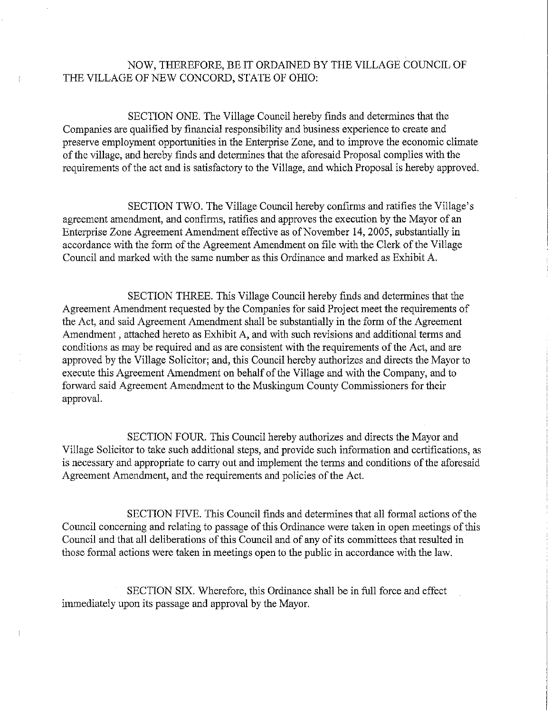## NOW, THEREFORE, BE IT ORDAINED BY THE VILLAGE COUNCIL OF THE VILLAGE OF NEW CONCORD, STATE OF OHIO:

SECTION ONE. The Village Council hereby finds and determines that the Companies are qualified by financial responsibility and business experience to create and preserve employment opportunities in the Enterprise Zone, and to improve the economic climate of the village, and hereby finds and determines that the aforesaid Proposal complies with the requirements of the act and is satisfactory to the Village, and which Proposal is hereby approved.

SECTION TWO. The Village Council hereby confirms and ratifies the Village's agreement amendment, and confirms, ratifies and approves the execution by the Mayor of an Enterprise Zone Agreement Amendment effective as of November 14, 2005, substantially in accordance with the form of the Agreement Amendment on file with the Clerk of the Village Council and marked with the same number as this Ordinance and marked as Exhibit A.

SECTION THREE. This Village Council hereby finds and determines that the Agreement Amendment requested by the Companies for said Project meet the requirements of the Act, and said Agreement Amendment shall be substantially in the form of the Agreement Amendment , attached hereto as Exhibit A, and with such revisions and additional terms and conditions as may be required and as are consistent with the requirements of the Act, and are approved by the Village Solicitor; and, this Council hereby authorizes and directs the Mayor to execute this Agreement Amendment on behalf of the Village and with the Company, and to forward said Agreement Amendment to the Muskingum County Commissioners for their approval.

SECTION FOUR. This Council hereby authorizes and directs the Mayor and Village Solicitor to take such additional steps, and provide such information and certifications, as is necessary and appropriate to carry out and implement the terms and conditions of the aforesaid Agreement Amendment, and the requirements and policies of the Act.

SECTION FIVE. This Council finds and determines that all formal actions of the Council concerning and relating to passage of this Ordinance were taken in open meetings of this Council and that all deliberations of this Council and of any of its committees that resulted in those formal actions were taken in meetings open to the public in accordance with the law.

SECTION SIX. Wherefore, this Ordinance shall be in full force and effect immediately upon its passage and approval by the Mayor.